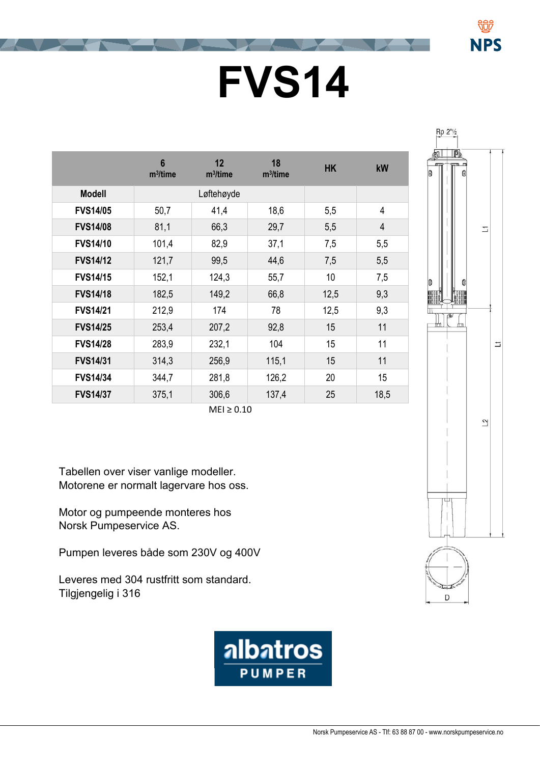## **FVS14**

|                 | $6\phantom{a}$<br>$m^3$ /time | 12<br>$m^3$ /time | 18<br>$m^3$ /time | <b>HK</b> | kW             |
|-----------------|-------------------------------|-------------------|-------------------|-----------|----------------|
|                 |                               |                   |                   |           |                |
| <b>Modell</b>   |                               | Løftehøyde        |                   |           |                |
| <b>FVS14/05</b> | 50,7                          | 41,4              | 18,6              | 5,5       | 4              |
| <b>FVS14/08</b> | 81,1                          | 66,3              | 29,7              | 5,5       | $\overline{4}$ |
| <b>FVS14/10</b> | 101,4                         | 82,9              | 37,1              | 7,5       | 5,5            |
| <b>FVS14/12</b> | 121,7                         | 99,5              | 44,6              | 7,5       | 5,5            |
| <b>FVS14/15</b> | 152,1                         | 124,3             | 55,7              | 10        | 7,5            |
| <b>FVS14/18</b> | 182,5                         | 149,2             | 66,8              | 12,5      | 9,3            |
| <b>FVS14/21</b> | 212,9                         | 174               | 78                | 12,5      | 9,3            |
| <b>FVS14/25</b> | 253,4                         | 207,2             | 92,8              | 15        | 11             |
| <b>FVS14/28</b> | 283,9                         | 232,1             | 104               | 15        | 11             |
| <b>FVS14/31</b> | 314,3                         | 256,9             | 115,1             | 15        | 11             |
| <b>FVS14/34</b> | 344,7                         | 281,8             | 126,2             | 20        | 15             |
| <b>FVS14/37</b> | 375,1                         | 306,6             | 137,4             | 25        | 18,5           |

 $MEI \geq 0.10$ 

Tabellen over viser vanlige modeller. Motorene er normalt lagervare hos oss.

Motor og pumpeende monteres hos Norsk Pumpeservice AS.

Pumpen leveres både som 230V og 400V

Leveres med 304 rustfritt som standard. Tilgjengelig i 316





NPS